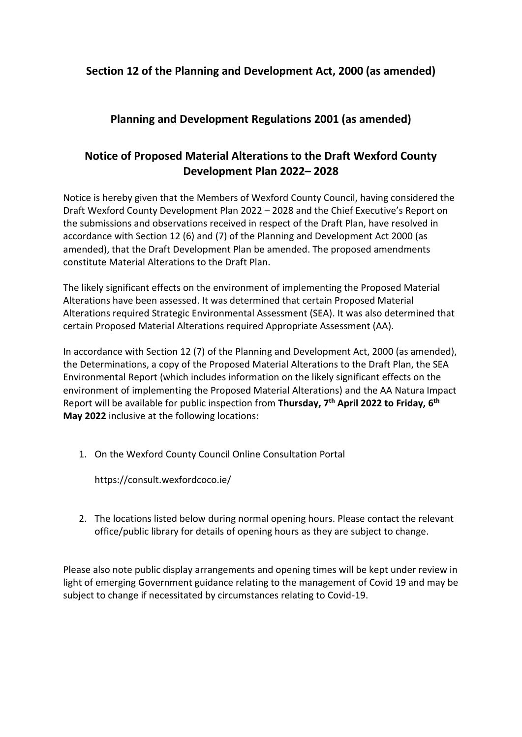### **Section 12 of the Planning and Development Act, 2000 (as amended)**

## **Planning and Development Regulations 2001 (as amended)**

# **Notice of Proposed Material Alterations to the Draft Wexford County Development Plan 2022– 2028**

Notice is hereby given that the Members of Wexford County Council, having considered the Draft Wexford County Development Plan 2022 – 2028 and the Chief Executive's Report on the submissions and observations received in respect of the Draft Plan, have resolved in accordance with Section 12 (6) and (7) of the Planning and Development Act 2000 (as amended), that the Draft Development Plan be amended. The proposed amendments constitute Material Alterations to the Draft Plan.

The likely significant effects on the environment of implementing the Proposed Material Alterations have been assessed. It was determined that certain Proposed Material Alterations required Strategic Environmental Assessment (SEA). It was also determined that certain Proposed Material Alterations required Appropriate Assessment (AA).

In accordance with Section 12 (7) of the Planning and Development Act, 2000 (as amended), the Determinations, a copy of the Proposed Material Alterations to the Draft Plan, the SEA Environmental Report (which includes information on the likely significant effects on the environment of implementing the Proposed Material Alterations) and the AA Natura Impact Report will be available for public inspection from **Thursday, 7 th April 2022 to Friday, 6 th May 2022** inclusive at the following locations:

1. On the Wexford County Council Online Consultation Portal

<https://consult.wexfordcoco.ie/>

2. The locations listed below during normal opening hours. Please contact the relevant office/public library for details of opening hours as they are subject to change.

Please also note public display arrangements and opening times will be kept under review in light of emerging Government guidance relating to the management of Covid 19 and may be subject to change if necessitated by circumstances relating to Covid-19.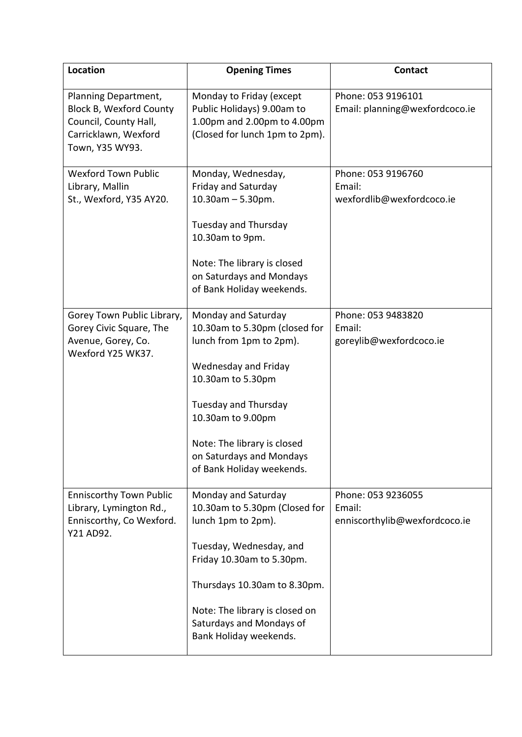| Location                                                                                                                   | <b>Opening Times</b>                                                                                                                                                                                                                                                     | <b>Contact</b>                                                |
|----------------------------------------------------------------------------------------------------------------------------|--------------------------------------------------------------------------------------------------------------------------------------------------------------------------------------------------------------------------------------------------------------------------|---------------------------------------------------------------|
| Planning Department,<br><b>Block B, Wexford County</b><br>Council, County Hall,<br>Carricklawn, Wexford<br>Town, Y35 WY93. | Monday to Friday (except<br>Public Holidays) 9.00am to<br>1.00pm and 2.00pm to 4.00pm<br>(Closed for lunch 1pm to 2pm).                                                                                                                                                  | Phone: 053 9196101<br>Email: planning@wexfordcoco.ie          |
| <b>Wexford Town Public</b><br>Library, Mallin<br>St., Wexford, Y35 AY20.                                                   | Monday, Wednesday,<br>Friday and Saturday<br>$10.30$ am $- 5.30$ pm.<br>Tuesday and Thursday<br>10.30am to 9pm.<br>Note: The library is closed<br>on Saturdays and Mondays<br>of Bank Holiday weekends.                                                                  | Phone: 053 9196760<br>Email:<br>wexfordlib@wexfordcoco.ie     |
| Gorey Town Public Library,<br>Gorey Civic Square, The<br>Avenue, Gorey, Co.<br>Wexford Y25 WK37.                           | Monday and Saturday<br>10.30am to 5.30pm (closed for<br>lunch from 1pm to 2pm).<br>Wednesday and Friday<br>10.30am to 5.30pm<br><b>Tuesday and Thursday</b><br>10.30am to 9.00pm<br>Note: The library is closed<br>on Saturdays and Mondays<br>of Bank Holiday weekends. | Phone: 053 9483820<br>Email:<br>goreylib@wexfordcoco.ie       |
| <b>Enniscorthy Town Public</b><br>Library, Lymington Rd.,<br>Enniscorthy, Co Wexford.<br>Y21 AD92.                         | Monday and Saturday<br>10.30am to 5.30pm (Closed for<br>lunch 1pm to 2pm).<br>Tuesday, Wednesday, and<br>Friday 10.30am to 5.30pm.<br>Thursdays 10.30am to 8.30pm.<br>Note: The library is closed on<br>Saturdays and Mondays of<br>Bank Holiday weekends.               | Phone: 053 9236055<br>Email:<br>enniscorthylib@wexfordcoco.ie |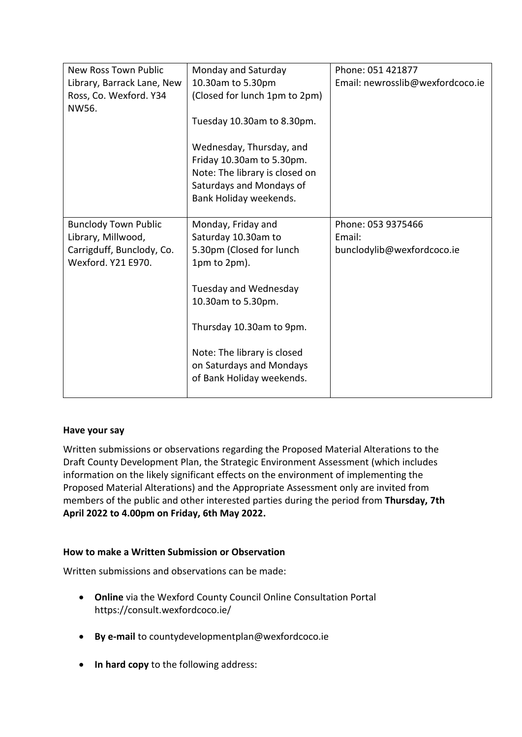| <b>New Ross Town Public</b> | Monday and Saturday            | Phone: 051 421877                |
|-----------------------------|--------------------------------|----------------------------------|
| Library, Barrack Lane, New  | 10.30am to 5.30pm              | Email: newrosslib@wexfordcoco.ie |
| Ross, Co. Wexford. Y34      | (Closed for lunch 1pm to 2pm)  |                                  |
| NW56.                       |                                |                                  |
|                             | Tuesday 10.30am to 8.30pm.     |                                  |
|                             |                                |                                  |
|                             | Wednesday, Thursday, and       |                                  |
|                             | Friday 10.30am to 5.30pm.      |                                  |
|                             | Note: The library is closed on |                                  |
|                             | Saturdays and Mondays of       |                                  |
|                             | Bank Holiday weekends.         |                                  |
|                             |                                |                                  |
| <b>Bunclody Town Public</b> | Monday, Friday and             | Phone: 053 9375466               |
| Library, Millwood,          | Saturday 10.30am to            | Email:                           |
| Carrigduff, Bunclody, Co.   | 5.30pm (Closed for lunch       | bunclodylib@wexfordcoco.ie       |
| Wexford, Y21 E970.          | 1pm to 2pm).                   |                                  |
|                             |                                |                                  |
|                             | Tuesday and Wednesday          |                                  |
|                             | 10.30am to 5.30pm.             |                                  |
|                             |                                |                                  |
|                             | Thursday 10.30am to 9pm.       |                                  |
|                             |                                |                                  |
|                             | Note: The library is closed    |                                  |
|                             | on Saturdays and Mondays       |                                  |
|                             | of Bank Holiday weekends.      |                                  |
|                             |                                |                                  |

### **Have your say**

Written submissions or observations regarding the Proposed Material Alterations to the Draft County Development Plan, the Strategic Environment Assessment (which includes information on the likely significant effects on the environment of implementing the Proposed Material Alterations) and the Appropriate Assessment only are invited from members of the public and other interested parties during the period from **Thursday, 7th April 2022 to 4.00pm on Friday, 6th May 2022.**

### **How to make a Written Submission or Observation**

Written submissions and observations can be made:

- **Online** via the Wexford County Council Online Consultation Portal <https://consult.wexfordcoco.ie/>
- **By e-mail** to countydevelopmentplan@wexfordcoco.ie
- **In hard copy** to the following address: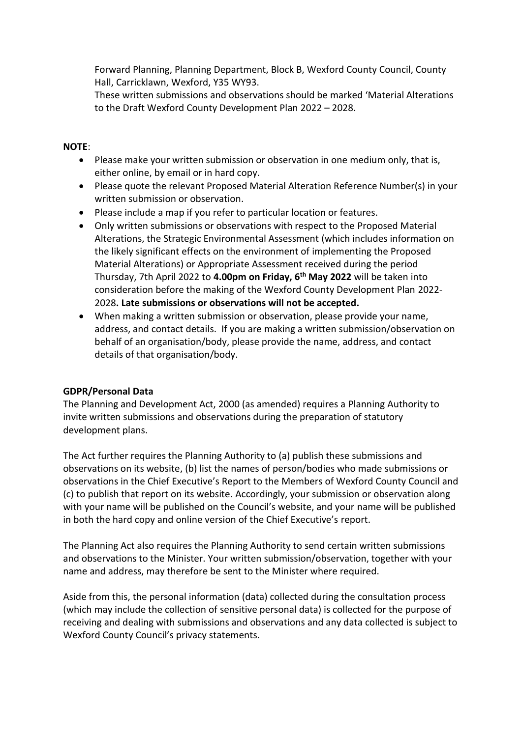Forward Planning, Planning Department, Block B, Wexford County Council, County Hall, Carricklawn, Wexford, Y35 WY93.

These written submissions and observations should be marked 'Material Alterations to the Draft Wexford County Development Plan 2022 – 2028.

#### **NOTE**:

- Please make your written submission or observation in one medium only, that is, either online, by email or in hard copy.
- Please quote the relevant Proposed Material Alteration Reference Number(s) in your written submission or observation.
- Please include a map if you refer to particular location or features.
- Only written submissions or observations with respect to the Proposed Material Alterations, the Strategic Environmental Assessment (which includes information on the likely significant effects on the environment of implementing the Proposed Material Alterations) or Appropriate Assessment received during the period Thursday, 7th April 2022 to **4.00pm on Friday, 6 th May 2022** will be taken into consideration before the making of the Wexford County Development Plan 2022- 2028**. Late submissions or observations will not be accepted.**
- When making a written submission or observation, please provide your name, address, and contact details. If you are making a written submission/observation on behalf of an organisation/body, please provide the name, address, and contact details of that organisation/body.

### **GDPR/Personal Data**

The Planning and Development Act, 2000 (as amended) requires a Planning Authority to invite written submissions and observations during the preparation of statutory development plans.

The Act further requires the Planning Authority to (a) publish these submissions and observations on its website, (b) list the names of person/bodies who made submissions or observations in the Chief Executive's Report to the Members of Wexford County Council and (c) to publish that report on its website. Accordingly, your submission or observation along with your name will be published on the Council's website, and your name will be published in both the hard copy and online version of the Chief Executive's report.

The Planning Act also requires the Planning Authority to send certain written submissions and observations to the Minister. Your written submission/observation, together with your name and address, may therefore be sent to the Minister where required.

Aside from this, the personal information (data) collected during the consultation process (which may include the collection of sensitive personal data) is collected for the purpose of receiving and dealing with submissions and observations and any data collected is subject to Wexford County Council's privacy statements.